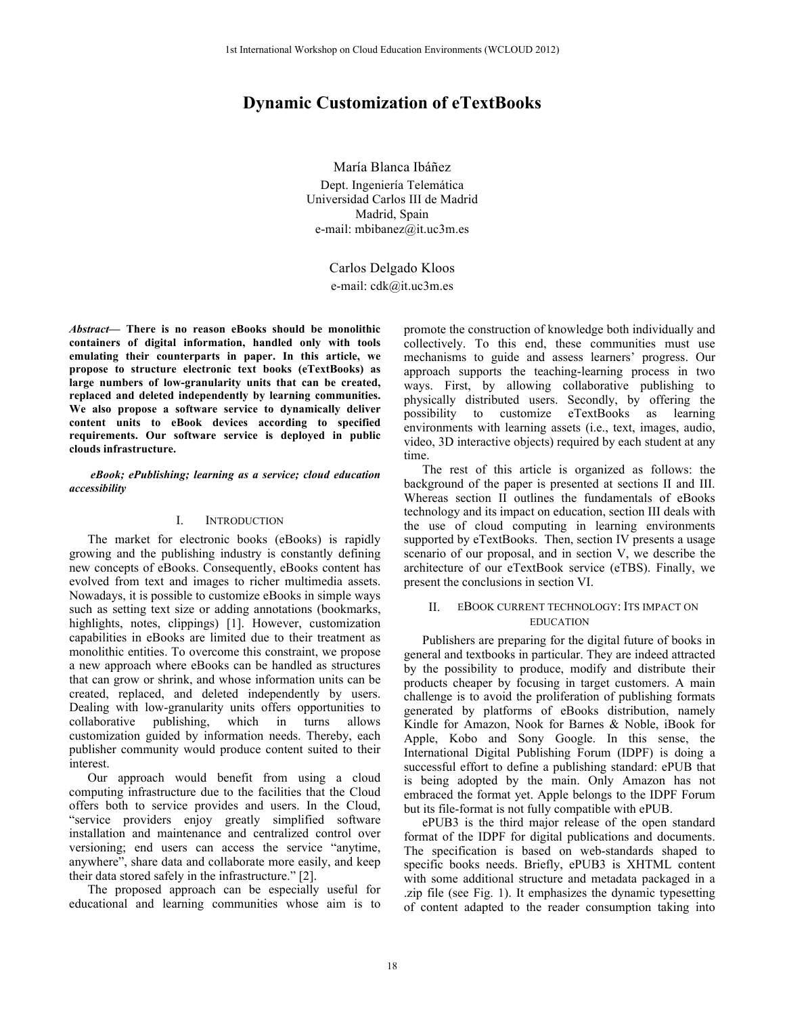# **Dynamic Customization of eTextBooks**

María Blanca Ibáñez Dept. Ingeniería Telemática Universidad Carlos III de Madrid Madrid, Spain e-mail: mbibanez@it.uc3m.es

> Carlos Delgado Kloos e-mail: cdk@it.uc3m.es

*Abstract***— There is no reason eBooks should be monolithic containers of digital information, handled only with tools emulating their counterparts in paper. In this article, we propose to structure electronic text books (eTextBooks) as large numbers of low-granularity units that can be created, replaced and deleted independently by learning communities. We also propose a software service to dynamically deliver content units to eBook devices according to specified requirements. Our software service is deployed in public clouds infrastructure.**

#### *eBook; ePublishing; learning as a service; cloud education accessibility*

## I. INTRODUCTION

The market for electronic books (eBooks) is rapidly growing and the publishing industry is constantly defining new concepts of eBooks. Consequently, eBooks content has evolved from text and images to richer multimedia assets. Nowadays, it is possible to customize eBooks in simple ways such as setting text size or adding annotations (bookmarks, highlights, notes, clippings) [1]. However, customization capabilities in eBooks are limited due to their treatment as monolithic entities. To overcome this constraint, we propose a new approach where eBooks can be handled as structures that can grow or shrink, and whose information units can be created, replaced, and deleted independently by users. Dealing with low-granularity units offers opportunities to collaborative publishing, which in turns allows customization guided by information needs. Thereby, each publisher community would produce content suited to their interest.

Our approach would benefit from using a cloud computing infrastructure due to the facilities that the Cloud offers both to service provides and users. In the Cloud, "service providers enjoy greatly simplified software installation and maintenance and centralized control over versioning; end users can access the service "anytime, anywhere", share data and collaborate more easily, and keep their data stored safely in the infrastructure." [2].

The proposed approach can be especially useful for educational and learning communities whose aim is to

promote the construction of knowledge both individually and collectively. To this end, these communities must use mechanisms to guide and assess learners' progress. Our approach supports the teaching-learning process in two ways. First, by allowing collaborative publishing to physically distributed users. Secondly, by offering the possibility to customize eTextBooks as learning environments with learning assets (i.e., text, images, audio, video, 3D interactive objects) required by each student at any time.

The rest of this article is organized as follows: the background of the paper is presented at sections II and III. Whereas section II outlines the fundamentals of eBooks technology and its impact on education, section III deals with the use of cloud computing in learning environments supported by eTextBooks. Then, section IV presents a usage scenario of our proposal, and in section V, we describe the architecture of our eTextBook service (eTBS). Finally, we present the conclusions in section VI.

## II. EBOOK CURRENT TECHNOLOGY: ITS IMPACT ON EDUCATION

Publishers are preparing for the digital future of books in general and textbooks in particular. They are indeed attracted by the possibility to produce, modify and distribute their products cheaper by focusing in target customers. A main challenge is to avoid the proliferation of publishing formats generated by platforms of eBooks distribution, namely Kindle for Amazon, Nook for Barnes & Noble, iBook for Apple, Kobo and Sony Google. In this sense, the International Digital Publishing Forum (IDPF) is doing a successful effort to define a publishing standard: ePUB that is being adopted by the main. Only Amazon has not embraced the format yet. Apple belongs to the IDPF Forum but its file-format is not fully compatible with ePUB.

ePUB3 is the third major release of the open standard format of the IDPF for digital publications and documents. The specification is based on web-standards shaped to specific books needs. Briefly, ePUB3 is XHTML content with some additional structure and metadata packaged in a .zip file (see Fig. 1). It emphasizes the dynamic typesetting of content adapted to the reader consumption taking into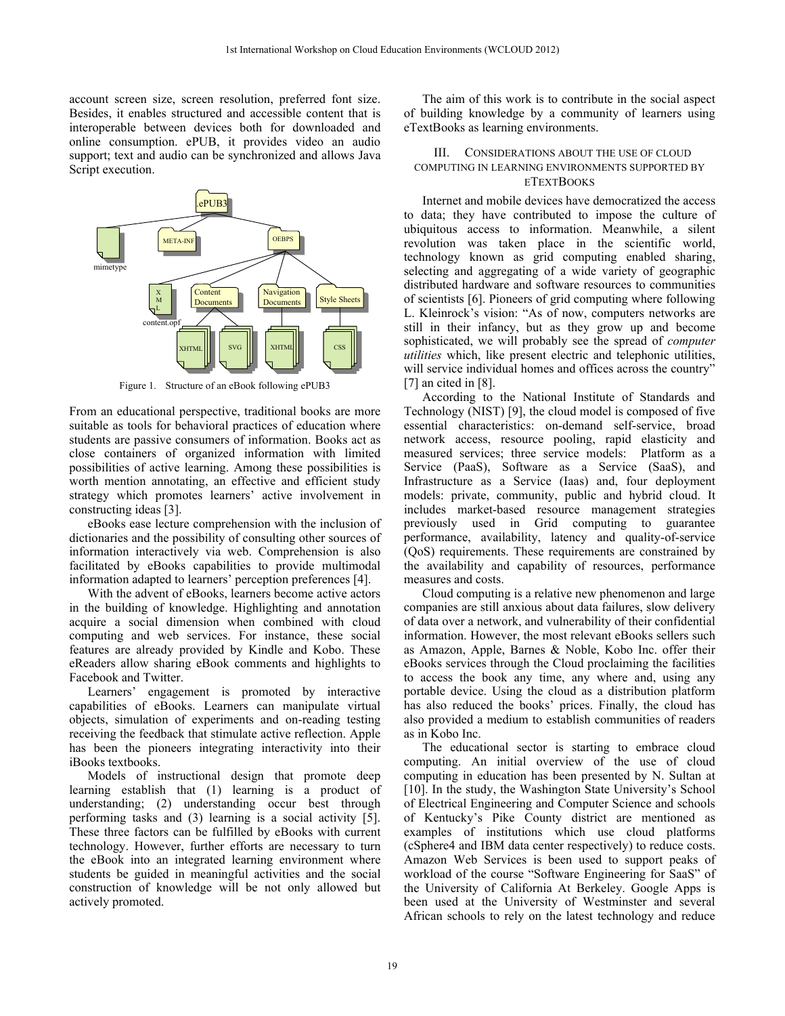account screen size, screen resolution, preferred font size. Besides, it enables structured and accessible content that is interoperable between devices both for downloaded and online consumption. ePUB, it provides video an audio support; text and audio can be synchronized and allows Java Script execution.



Figure 1. Structure of an eBook following ePUB3

From an educational perspective, traditional books are more suitable as tools for behavioral practices of education where students are passive consumers of information. Books act as close containers of organized information with limited possibilities of active learning. Among these possibilities is worth mention annotating, an effective and efficient study strategy which promotes learners' active involvement in constructing ideas [3].

eBooks ease lecture comprehension with the inclusion of dictionaries and the possibility of consulting other sources of information interactively via web. Comprehension is also facilitated by eBooks capabilities to provide multimodal information adapted to learners' perception preferences [4].

With the advent of eBooks, learners become active actors in the building of knowledge. Highlighting and annotation acquire a social dimension when combined with cloud computing and web services. For instance, these social features are already provided by Kindle and Kobo. These eReaders allow sharing eBook comments and highlights to Facebook and Twitter.

Learners' engagement is promoted by interactive capabilities of eBooks. Learners can manipulate virtual objects, simulation of experiments and on-reading testing receiving the feedback that stimulate active reflection. Apple has been the pioneers integrating interactivity into their iBooks textbooks.

Models of instructional design that promote deep learning establish that (1) learning is a product of understanding; (2) understanding occur best through performing tasks and (3) learning is a social activity [5]. These three factors can be fulfilled by eBooks with current technology. However, further efforts are necessary to turn the eBook into an integrated learning environment where students be guided in meaningful activities and the social construction of knowledge will be not only allowed but actively promoted.

The aim of this work is to contribute in the social aspect of building knowledge by a community of learners using eTextBooks as learning environments.

#### III. CONSIDERATIONS ABOUT THE USE OF CLOUD COMPUTING IN LEARNING ENVIRONMENTS SUPPORTED BY **ETEXTROOKS**

Internet and mobile devices have democratized the access to data; they have contributed to impose the culture of ubiquitous access to information. Meanwhile, a silent revolution was taken place in the scientific world, technology known as grid computing enabled sharing, selecting and aggregating of a wide variety of geographic distributed hardware and software resources to communities of scientists [6]. Pioneers of grid computing where following L. Kleinrock's vision: "As of now, computers networks are still in their infancy, but as they grow up and become sophisticated, we will probably see the spread of *computer utilities* which, like present electric and telephonic utilities, will service individual homes and offices across the country" [7] an cited in [8].

According to the National Institute of Standards and Technology (NIST) [9], the cloud model is composed of five essential characteristics: on-demand self-service, broad network access, resource pooling, rapid elasticity and measured services; three service models: Platform as a Service (PaaS), Software as a Service (SaaS), and Infrastructure as a Service (Iaas) and, four deployment models: private, community, public and hybrid cloud. It includes market-based resource management strategies previously used in Grid computing to guarantee performance, availability, latency and quality-of-service (QoS) requirements. These requirements are constrained by the availability and capability of resources, performance measures and costs.

Cloud computing is a relative new phenomenon and large companies are still anxious about data failures, slow delivery of data over a network, and vulnerability of their confidential information. However, the most relevant eBooks sellers such as Amazon, Apple, Barnes & Noble, Kobo Inc. offer their eBooks services through the Cloud proclaiming the facilities to access the book any time, any where and, using any portable device. Using the cloud as a distribution platform has also reduced the books' prices. Finally, the cloud has also provided a medium to establish communities of readers as in Kobo Inc.

The educational sector is starting to embrace cloud computing. An initial overview of the use of cloud computing in education has been presented by N. Sultan at [10]. In the study, the Washington State University's School of Electrical Engineering and Computer Science and schools of Kentucky's Pike County district are mentioned as examples of institutions which use cloud platforms (cSphere4 and IBM data center respectively) to reduce costs. Amazon Web Services is been used to support peaks of workload of the course "Software Engineering for SaaS" of the University of California At Berkeley. Google Apps is been used at the University of Westminster and several African schools to rely on the latest technology and reduce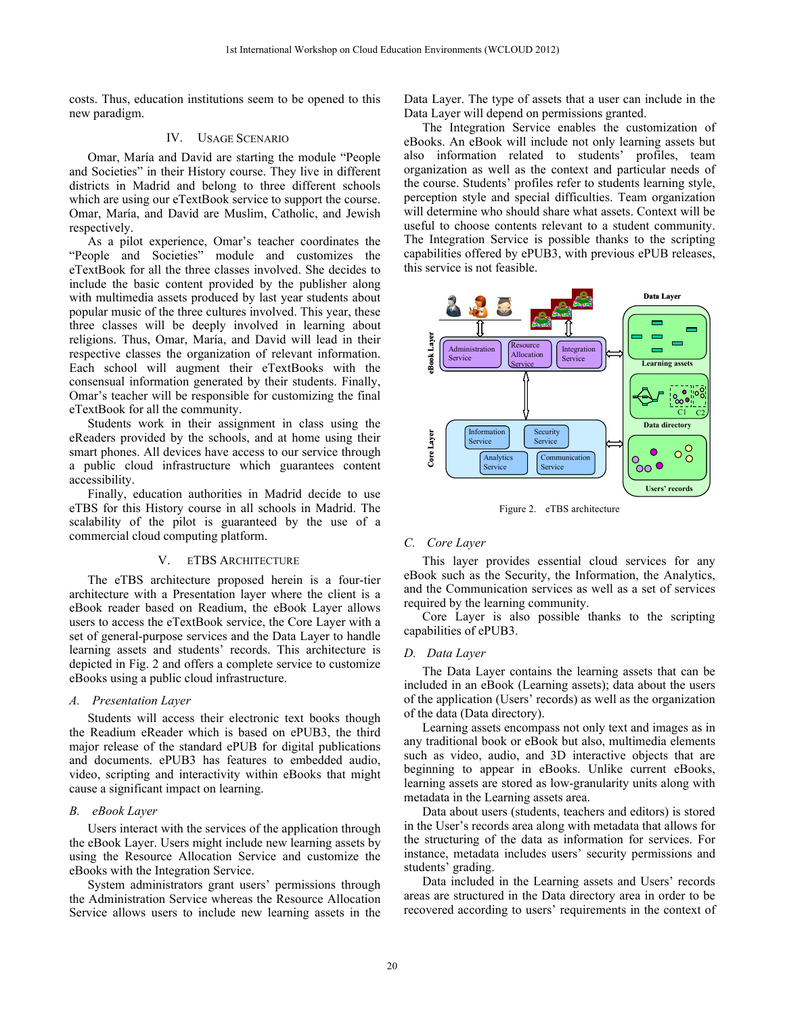costs. Thus, education institutions seem to be opened to this new paradigm.

#### IV. USAGE SCENARIO

Omar, María and David are starting the module "People and Societies" in their History course. They live in different districts in Madrid and belong to three different schools which are using our eTextBook service to support the course. Omar, María, and David are Muslim, Catholic, and Jewish respectively.

As a pilot experience, Omar's teacher coordinates the "People and Societies" module and customizes the eTextBook for all the three classes involved. She decides to include the basic content provided by the publisher along with multimedia assets produced by last year students about popular music of the three cultures involved. This year, these three classes will be deeply involved in learning about religions. Thus, Omar, María, and David will lead in their respective classes the organization of relevant information. Each school will augment their eTextBooks with the consensual information generated by their students. Finally, Omar's teacher will be responsible for customizing the final eTextBook for all the community.

Students work in their assignment in class using the eReaders provided by the schools, and at home using their smart phones. All devices have access to our service through a public cloud infrastructure which guarantees content accessibility.

Finally, education authorities in Madrid decide to use eTBS for this History course in all schools in Madrid. The scalability of the pilot is guaranteed by the use of a commercial cloud computing platform.

## V. ETBS ARCHITECTURE

The eTBS architecture proposed herein is a four-tier architecture with a Presentation layer where the client is a eBook reader based on Readium, the eBook Layer allows users to access the eTextBook service, the Core Layer with a set of general-purpose services and the Data Layer to handle learning assets and students' records. This architecture is depicted in Fig. 2 and offers a complete service to customize eBooks using a public cloud infrastructure.

## *A. Presentation Layer*

Students will access their electronic text books though the Readium eReader which is based on ePUB3, the third major release of the standard ePUB for digital publications and documents. ePUB3 has features to embedded audio, video, scripting and interactivity within eBooks that might cause a significant impact on learning.

## *B. eBook Layer*

Users interact with the services of the application through the eBook Layer. Users might include new learning assets by using the Resource Allocation Service and customize the eBooks with the Integration Service.

System administrators grant users' permissions through the Administration Service whereas the Resource Allocation Service allows users to include new learning assets in the Data Layer. The type of assets that a user can include in the Data Layer will depend on permissions granted.

The Integration Service enables the customization of eBooks. An eBook will include not only learning assets but also information related to students' profiles, team organization as well as the context and particular needs of the course. Students' profiles refer to students learning style, perception style and special difficulties. Team organization will determine who should share what assets. Context will be useful to choose contents relevant to a student community. The Integration Service is possible thanks to the scripting capabilities offered by ePUB3, with previous ePUB releases, this service is not feasible.



Figure 2. eTBS architecture

## *C. Core Layer*

This layer provides essential cloud services for any eBook such as the Security, the Information, the Analytics, and the Communication services as well as a set of services required by the learning community.

Core Layer is also possible thanks to the scripting capabilities of ePUB3.

## *D. Data Layer*

The Data Layer contains the learning assets that can be included in an eBook (Learning assets); data about the users of the application (Users' records) as well as the organization of the data (Data directory).

Learning assets encompass not only text and images as in any traditional book or eBook but also, multimedia elements such as video, audio, and 3D interactive objects that are beginning to appear in eBooks. Unlike current eBooks, learning assets are stored as low-granularity units along with metadata in the Learning assets area.

Data about users (students, teachers and editors) is stored in the User's records area along with metadata that allows for the structuring of the data as information for services. For instance, metadata includes users' security permissions and students' grading.

Data included in the Learning assets and Users' records areas are structured in the Data directory area in order to be recovered according to users' requirements in the context of